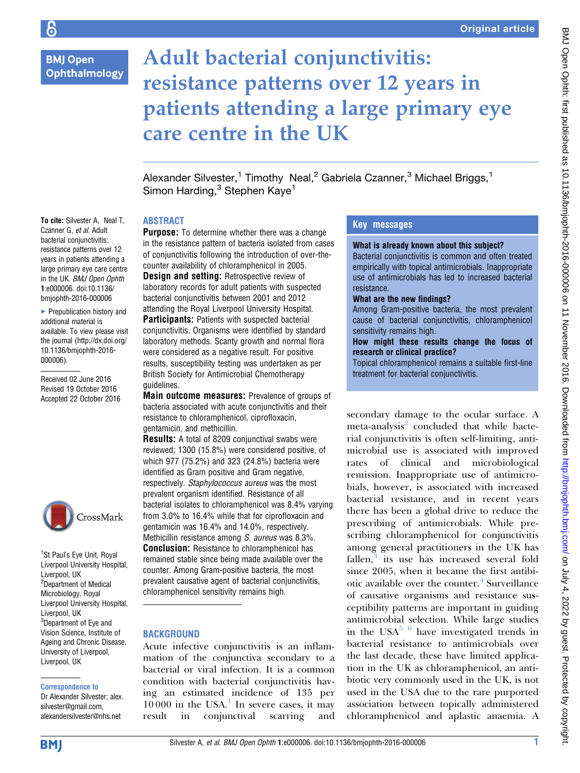# **BMJ Open** Ophthalmology

To cite: Silvester A, Neal T, Czanner G, et al. Adult bacterial conjunctivitis: resistance patterns over 12 years in patients attending a large primary eye care centre in the UK. BMJ Open Ophth 1:e000006. doi:10.1136/ bmjophth-2016-000006  $\blacktriangleright$  Prepublication history and additional material is available. To view please visit the journal (http://dx.doi.org/ 10.1136/bmjophth-2016-

000006).

Received 02 June 2016 Revised 19 October 2016 Accepted 22 October 2016

<sup>1</sup>St Paul's Eye Unit, Royal Liverpool University Hospital,

CrossMark

Liverpool, UK <sup>2</sup>Department of Medical Microbiology, Royal Liverpool University Hospital,

Liverpool, UK <sup>3</sup>Department of Eye and Vision Science, Institute of Ageing and Chronic Disease, University of Liverpool, Liverpool, UK

Correspondence to Dr Alexander Silvester; alex. silvester@gmail.com, alexandersilvester@nhs.net

# Adult bacterial conjunctivitis: resistance patterns over 12 years in patients attending a large primary eye care centre in the UK

Alexander Silvester,<sup>1</sup> Timothy Neal,<sup>2</sup> Gabriela Czanner,<sup>3</sup> Michael Briggs,<sup>1</sup> Simon Harding,<sup>3</sup> Stephen Kaye<sup>1</sup>

### ABSTRACT

**Purpose:** To determine whether there was a change in the resistance pattern of bacteria isolated from cases of conjunctivitis following the introduction of over-thecounter availability of chloramphenicol in 2005. **Design and setting:** Retrospective review of laboratory records for adult patients with suspected bacterial conjunctivitis between 2001 and 2012 attending the Royal Liverpool University Hospital. Participants: Patients with suspected bacterial conjunctivitis. Organisms were identified by standard laboratory methods. Scanty growth and normal flora were considered as a negative result. For positive results, susceptibility testing was undertaken as per British Society for Antimicrobial Chemotherapy guidelines.

Main outcome measures: Prevalence of groups of bacteria associated with acute conjunctivitis and their resistance to chloramphenicol, ciprofloxacin, gentamicin, and methicillin.

Results: A total of 8209 conjunctival swabs were reviewed; 1300 (15.8%) were considered positive, of which 977 (75.2%) and 323 (24.8%) bacteria were identified as Gram positive and Gram negative, respectively. Staphylococcus aureus was the most prevalent organism identified. Resistance of all bacterial isolates to chloramphenicol was 8.4% varying from 3.0% to 16.4% while that for ciprofloxacin and gentamicin was 16.4% and 14.0%, respectively. Methicillin resistance among S. aureus was 8.3%. **Conclusion:** Resistance to chloramphenicol has remained stable since being made available over the counter. Among Gram-positive bacteria, the most prevalent causative agent of bacterial conjunctivitis, chloramphenicol sensitivity remains high.

## **BACKGROUND**

Acute infective conjunctivitis is an inflammation of the conjunctiva secondary to a bacterial or viral infection. It is a common condition with bacterial conjunctivitis having an estimated incidence of 135 per  $10000$  $10000$  in the USA.<sup>1</sup> In severe cases, it may result in conjunctival scarring and

# Key messages

#### What is already known about this subject?

Bacterial conjunctivitis is common and often treated empirically with topical antimicrobials. Inappropriate use of antimicrobials has led to increased bacterial resistance.

#### What are the new findings?

Among Gram-positive bacteria, the most prevalent cause of bacterial conjunctivitis, chloramphenicol sensitivity remains high.

#### How might these results change the focus of research or clinical practice?

Topical chloramphenicol remains a suitable first-line treatment for bacterial conjunctivitis.

secondary damage to the ocular surface. A meta-analysis<sup>[2](#page-3-0)</sup> concluded that while bacterial conjunctivitis is often self-limiting, antimicrobial use is associated with improved rates of clinical and microbiological remission. Inappropriate use of antimicrobials, however, is associated with increased bacterial resistance, and in recent years there has been a global drive to reduce the prescribing of antimicrobials. While prescribing chloramphenicol for conjunctivitis among general practitioners in the UK has  $fallen$ , $3$  its use has increased several fold since 2005, when it became the first antibi-otic available over the counter.<sup>[4](#page-3-0)</sup> Surveillance of causative organisms and resistance susceptibility patterns are important in guiding antimicrobial selection. While large studies in the USA<sup>[5 6](#page-3-0)</sup> have investigated trends in bacterial resistance to antimicrobials over the last decade, these have limited application in the UK as chloramphenicol, an antibiotic very commonly used in the UK, is not used in the USA due to the rare purported association between topically administered chloramphenicol and aplastic anaemia. A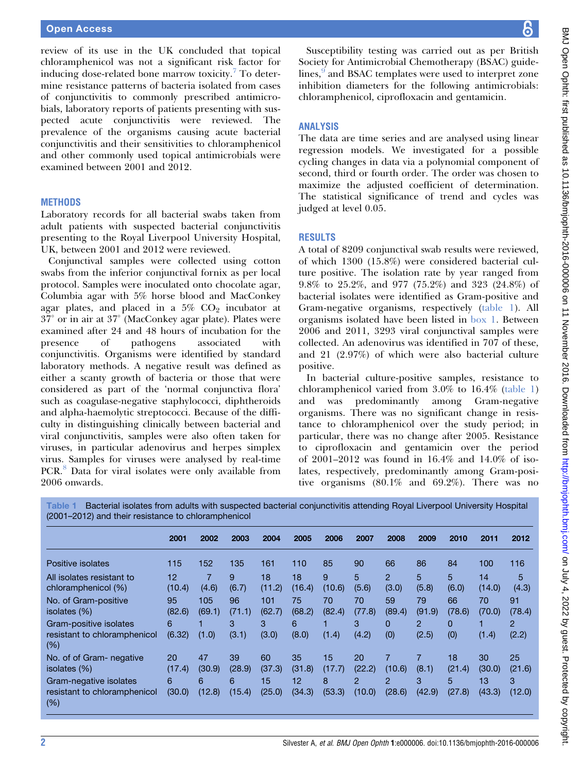review of its use in the UK concluded that topical chloramphenicol was not a significant risk factor for inducing dose-related bone marrow toxicity.<sup>[7](#page-3-0)</sup> To determine resistance patterns of bacteria isolated from cases of conjunctivitis to commonly prescribed antimicrobials, laboratory reports of patients presenting with suspected acute conjunctivitis were reviewed. The prevalence of the organisms causing acute bacterial conjunctivitis and their sensitivities to chloramphenicol and other commonly used topical antimicrobials were examined between 2001 and 2012.

#### **METHODS**

Laboratory records for all bacterial swabs taken from adult patients with suspected bacterial conjunctivitis presenting to the Royal Liverpool University Hospital, UK, between 2001 and 2012 were reviewed.

Conjunctival samples were collected using cotton swabs from the inferior conjunctival fornix as per local protocol. Samples were inoculated onto chocolate agar, Columbia agar with 5% horse blood and MacConkey agar plates, and placed in a  $5\%$  CO<sub>2</sub> incubator at 37 or in air at 37 (MacConkey agar plate). Plates were examined after 24 and 48 hours of incubation for the presence of pathogens associated with conjunctivitis. Organisms were identified by standard laboratory methods. A negative result was defined as either a scanty growth of bacteria or those that were considered as part of the 'normal conjunctiva flora' such as coagulase-negative staphylococci, diphtheroids and alpha-haemolytic streptococci. Because of the difficulty in distinguishing clinically between bacterial and viral conjunctivitis, samples were also often taken for viruses, in particular adenovirus and herpes simplex virus. Samples for viruses were analysed by real-time PCR.<sup>[8](#page-3-0)</sup> Data for viral isolates were only available from 2006 onwards.

Susceptibility testing was carried out as per British Society for Antimicrobial Chemotherapy (BSAC) guide-lines,<sup>[9](#page-3-0)</sup> and BSAC templates were used to interpret zone inhibition diameters for the following antimicrobials: chloramphenicol, ciprofloxacin and gentamicin.

#### ANALYSIS

The data are time series and are analysed using linear regression models. We investigated for a possible cycling changes in data via a polynomial component of second, third or fourth order. The order was chosen to maximize the adjusted coefficient of determination. The statistical significance of trend and cycles was judged at level 0.05.

#### RESULTS

A total of 8209 conjunctival swab results were reviewed, of which 1300 (15.8%) were considered bacterial culture positive. The isolation rate by year ranged from 9.8% to 25.2%, and 977 (75.2%) and 323 (24.8%) of bacterial isolates were identified as Gram-positive and Gram-negative organisms, respectively (table 1). All organisms isolated have been listed in [box 1](#page-2-0). Between 2006 and 2011, 3293 viral conjunctival samples were collected. An adenovirus was identified in 707 of these, and 21 (2.97%) of which were also bacterial culture positive.

In bacterial culture-positive samples, resistance to chloramphenicol varied from 3.0% to 16.4% (table 1) and was predominantly among Gram-negative organisms. There was no significant change in resistance to chloramphenicol over the study period; in particular, there was no change after 2005. Resistance to ciprofloxacin and gentamicin over the period of 2001–2012 was found in 16.4% and 14.0% of isolates, respectively, predominantly among Gram-positive organisms (80.1% and 69.2%). There was no

Table 1 Bacterial isolates from adults with suspected bacterial conjunctivitis attending Royal Liverpool University Hospital (2001–2012) and their resistance to chloramphenicol

|                                                                  | 2001         | 2002          | 2003         | 2004          | 2005         | 2006         | 2007                     | 2008                    | 2009                    | 2010         | 2011         | 2012                    |
|------------------------------------------------------------------|--------------|---------------|--------------|---------------|--------------|--------------|--------------------------|-------------------------|-------------------------|--------------|--------------|-------------------------|
| Positive isolates                                                | 115          | 152           | 135          | 161           | 110          | 85           | 90                       | 66                      | 86                      | 84           | 100          | 116                     |
| All isolates resistant to<br>chloramphenicol (%)                 | 12<br>(10.4) | 7<br>(4.6)    | 9<br>(6.7)   | 18<br>(11.2)  | 18<br>(16.4) | 9<br>(10.6)  | 5<br>(5.6)               | $\overline{2}$<br>(3.0) | 5<br>(5.8)              | 5<br>(6.0)   | 14<br>(14.0) | 5<br>(4.3)              |
| No. of Gram-positive<br>isolates (%)                             | 95<br>(82.6) | 105<br>(69.1) | 96<br>(71.1) | 101<br>(62.7) | 75<br>(68.2) | 70<br>(82.4) | 70<br>(77.8)             | 59<br>(89.4)            | 79<br>(91.9)            | 66<br>(78.6) | 70<br>(70.0) | 91<br>(78.4)            |
| Gram-positive isolates<br>resistant to chloramphenicol<br>$(\%)$ | 6<br>(6.32)  | (1.0)         | 3<br>(3.1)   | 3<br>(3.0)    | 6<br>(8.0)   | (1.4)        | 3<br>(4.2)               | $\mathbf{0}$<br>(0)     | $\overline{2}$<br>(2.5) | 0<br>(0)     | (1.4)        | $\overline{2}$<br>(2.2) |
| No. of of Gram- negative<br>isolates (%)                         | 20<br>(17.4) | 47<br>(30.9)  | 39<br>(28.9) | 60<br>(37.3)  | 35<br>(31.8) | 15<br>(17.7) | 20<br>(22.2)             | (10.6)                  | (8.1)                   | 18<br>(21.4) | 30<br>(30.0) | 25<br>(21.6)            |
| Gram-negative isolates<br>resistant to chloramphenicol<br>$(\%)$ | 6<br>(30.0)  | 6<br>(12.8)   | 6<br>(15.4)  | 15<br>(25.0)  | 12<br>(34.3) | 8<br>(53.3)  | $\overline{2}$<br>(10.0) | 2<br>(28.6)             | 3<br>(42.9)             | 5<br>(27.8)  | 13<br>(43.3) | 3<br>(12.0)             |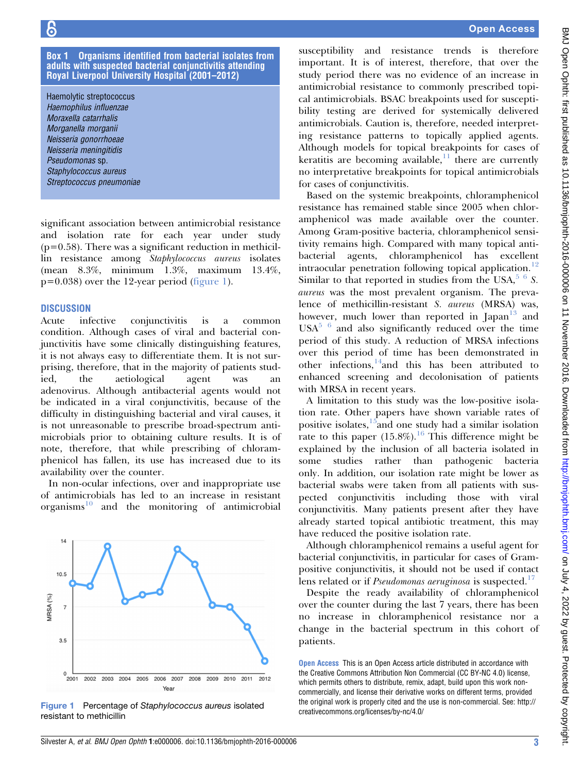#### <span id="page-2-0"></span>Box 1 Organisms identified from bacterial isolates from adults with suspected bacterial conjunctivitis attending Royal Liverpool University Hospital (2001–2012)

Haemolytic streptococcus Haemophilus influenzae Moraxella catarrhalis Morganella morganii Neisseria gonorrhoeae Neisseria meningitidis Pseudomonas sp. Staphylococcus aureus Streptococcus pneumoniae

significant association between antimicrobial resistance and isolation rate for each year under study  $(p=0.58)$ . There was a significant reduction in methicillin resistance among Staphylococcus aureus isolates (mean 8.3%, minimum 1.3%, maximum 13.4%,  $p=0.038$ ) over the 12-year period (figure 1).

#### **DISCUSSION**

Acute infective conjunctivitis is a common condition. Although cases of viral and bacterial conjunctivitis have some clinically distinguishing features, it is not always easy to differentiate them. It is not surprising, therefore, that in the majority of patients studied, the aetiological agent was an adenovirus. Although antibacterial agents would not be indicated in a viral conjunctivitis, because of the difficulty in distinguishing bacterial and viral causes, it is not unreasonable to prescribe broad-spectrum antimicrobials prior to obtaining culture results. It is of note, therefore, that while prescribing of chloramphenicol has fallen, its use has increased due to its availability over the counter.

In non-ocular infections, over and inappropriate use of antimicrobials has led to an increase in resistant  $organisms<sup>10</sup>$  $organisms<sup>10</sup>$  $organisms<sup>10</sup>$  and the monitoring of antimicrobial



Figure 1 Percentage of Staphylococcus aureus isolated resistant to methicillin

susceptibility and resistance trends is therefore important. It is of interest, therefore, that over the study period there was no evidence of an increase in antimicrobial resistance to commonly prescribed topical antimicrobials. BSAC breakpoints used for susceptibility testing are derived for systemically delivered antimicrobials. Caution is, therefore, needed interpreting resistance patterns to topically applied agents. Although models for topical breakpoints for cases of keratitis are becoming available, $\frac{11}{11}$  $\frac{11}{11}$  $\frac{11}{11}$  there are currently no interpretative breakpoints for topical antimicrobials for cases of conjunctivitis.

Based on the systemic breakpoints, chloramphenicol resistance has remained stable since 2005 when chloramphenicol was made available over the counter. Among Gram-positive bacteria, chloramphenicol sensitivity remains high. Compared with many topical antibacterial agents, chloramphenicol has excellent intraocular penetration following topical application.<sup>[12](#page-3-0)</sup> Similar to that reported in studies from the USA, $5\,6\,$  S. aureus was the most prevalent organism. The prevalence of methicillin-resistant S. aureus (MRSA) was, however, much lower than reported in  $[Iapan]^{13}$  $[Iapan]^{13}$  $[Iapan]^{13}$  and  $USA<sup>5-6</sup>$  and also significantly reduced over the time period of this study. A reduction of MRSA infections over this period of time has been demonstrated in other infections, $14$ and this has been attributed to enhanced screening and decolonisation of patients with MRSA in recent years.

A limitation to this study was the low-positive isolation rate. Other papers have shown variable rates of positive isolates, $15$ and one study had a similar isolation rate to this paper  $(15.8\%)$ .<sup>[16](#page-3-0)</sup> This difference might be explained by the inclusion of all bacteria isolated in some studies rather than pathogenic bacteria only. In addition, our isolation rate might be lower as bacterial swabs were taken from all patients with suspected conjunctivitis including those with viral conjunctivitis. Many patients present after they have already started topical antibiotic treatment, this may have reduced the positive isolation rate.

Although chloramphenicol remains a useful agent for bacterial conjunctivitis, in particular for cases of Grampositive conjunctivitis, it should not be used if contact lens related or if *Pseudomonas aeruginosa* is suspected.<sup>[17](#page-3-0)</sup>

Despite the ready availability of chloramphenicol over the counter during the last 7 years, there has been no increase in chloramphenicol resistance nor a change in the bacterial spectrum in this cohort of patients.

Open Access This is an Open Access article distributed in accordance with the Creative Commons Attribution Non Commercial (CC BY-NC 4.0) license, which permits others to distribute, remix, adapt, build upon this work noncommercially, and license their derivative works on different terms, provided the original work is properly cited and the use is non-commercial. See: [http://](http://creativecommons.org/licenses/by-nc/4.0/) [creativecommons.org/licenses/by-nc/4.0/](http://creativecommons.org/licenses/by-nc/4.0/)